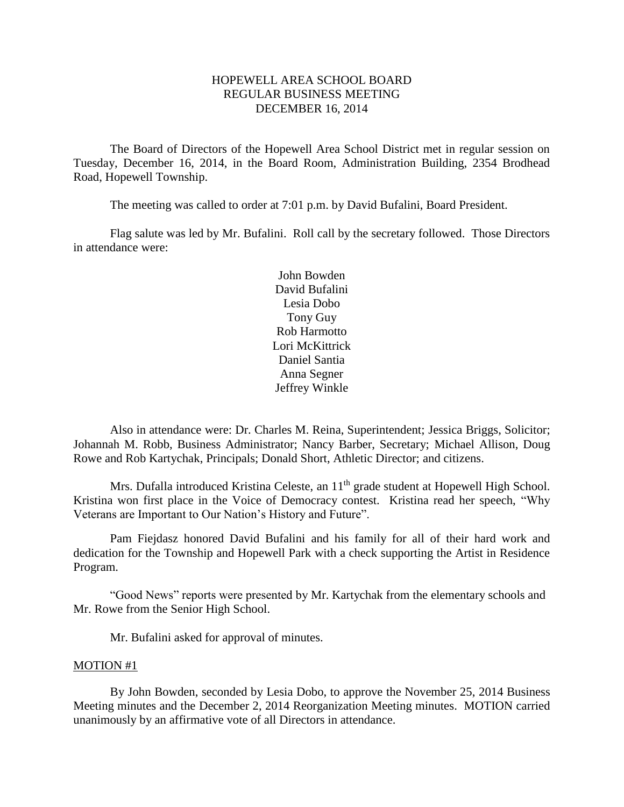# HOPEWELL AREA SCHOOL BOARD REGULAR BUSINESS MEETING DECEMBER 16, 2014

The Board of Directors of the Hopewell Area School District met in regular session on Tuesday, December 16, 2014, in the Board Room, Administration Building, 2354 Brodhead Road, Hopewell Township.

The meeting was called to order at 7:01 p.m. by David Bufalini, Board President.

Flag salute was led by Mr. Bufalini. Roll call by the secretary followed. Those Directors in attendance were:

> John Bowden David Bufalini Lesia Dobo Tony Guy Rob Harmotto Lori McKittrick Daniel Santia Anna Segner Jeffrey Winkle

Also in attendance were: Dr. Charles M. Reina, Superintendent; Jessica Briggs, Solicitor; Johannah M. Robb, Business Administrator; Nancy Barber, Secretary; Michael Allison, Doug Rowe and Rob Kartychak, Principals; Donald Short, Athletic Director; and citizens.

Mrs. Dufalla introduced Kristina Celeste, an 11<sup>th</sup> grade student at Hopewell High School. Kristina won first place in the Voice of Democracy contest. Kristina read her speech, "Why Veterans are Important to Our Nation's History and Future".

Pam Fiejdasz honored David Bufalini and his family for all of their hard work and dedication for the Township and Hopewell Park with a check supporting the Artist in Residence Program.

"Good News" reports were presented by Mr. Kartychak from the elementary schools and Mr. Rowe from the Senior High School.

Mr. Bufalini asked for approval of minutes.

#### MOTION #1

By John Bowden, seconded by Lesia Dobo, to approve the November 25, 2014 Business Meeting minutes and the December 2, 2014 Reorganization Meeting minutes. MOTION carried unanimously by an affirmative vote of all Directors in attendance.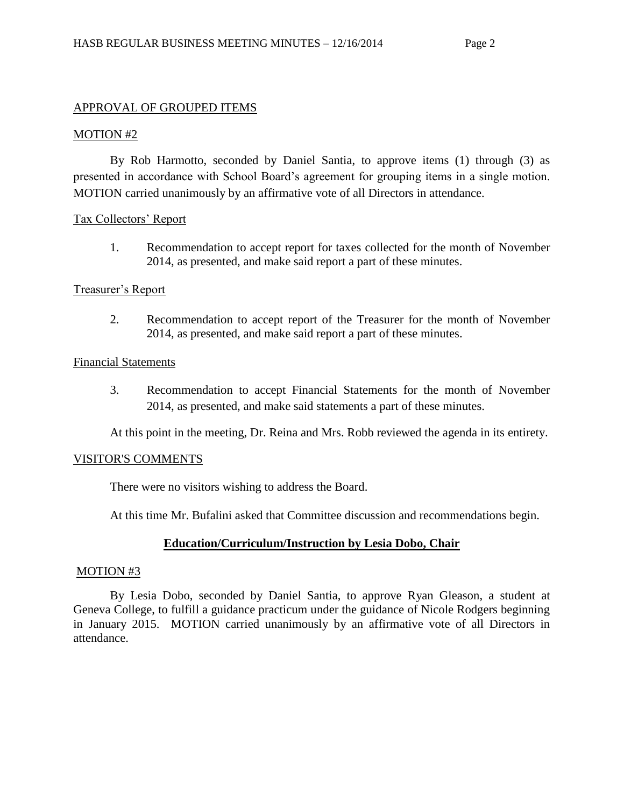# APPROVAL OF GROUPED ITEMS

# MOTION #2

By Rob Harmotto, seconded by Daniel Santia, to approve items (1) through (3) as presented in accordance with School Board's agreement for grouping items in a single motion. MOTION carried unanimously by an affirmative vote of all Directors in attendance.

# Tax Collectors' Report

1. Recommendation to accept report for taxes collected for the month of November 2014, as presented, and make said report a part of these minutes.

## Treasurer's Report

2. Recommendation to accept report of the Treasurer for the month of November 2014, as presented, and make said report a part of these minutes.

## Financial Statements

3. Recommendation to accept Financial Statements for the month of November 2014, as presented, and make said statements a part of these minutes.

At this point in the meeting, Dr. Reina and Mrs. Robb reviewed the agenda in its entirety.

### VISITOR'S COMMENTS

There were no visitors wishing to address the Board.

At this time Mr. Bufalini asked that Committee discussion and recommendations begin.

# **Education/Curriculum/Instruction by Lesia Dobo, Chair**

### MOTION #3

By Lesia Dobo, seconded by Daniel Santia, to approve Ryan Gleason, a student at Geneva College, to fulfill a guidance practicum under the guidance of Nicole Rodgers beginning in January 2015. MOTION carried unanimously by an affirmative vote of all Directors in attendance.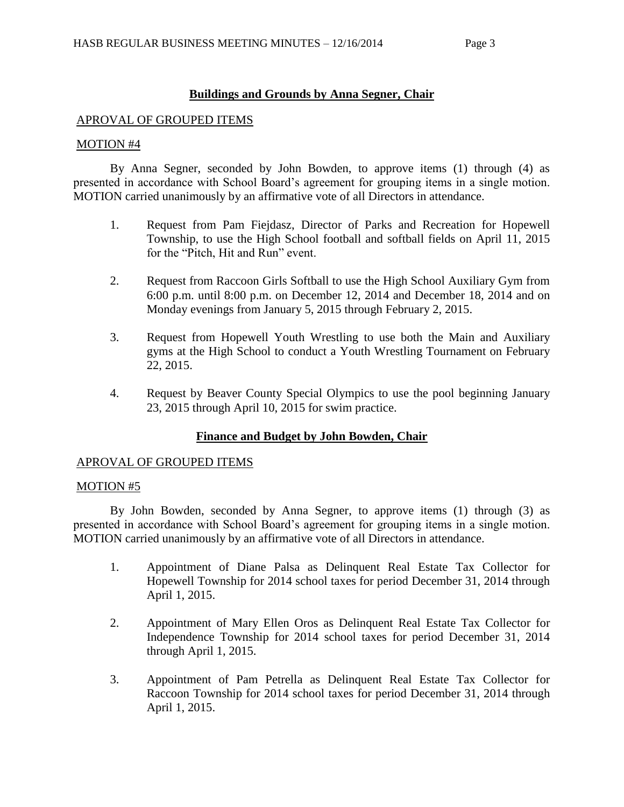# **Buildings and Grounds by Anna Segner, Chair**

### APROVAL OF GROUPED ITEMS

### MOTION #4

By Anna Segner, seconded by John Bowden, to approve items (1) through (4) as presented in accordance with School Board's agreement for grouping items in a single motion. MOTION carried unanimously by an affirmative vote of all Directors in attendance.

- 1. Request from Pam Fiejdasz, Director of Parks and Recreation for Hopewell Township, to use the High School football and softball fields on April 11, 2015 for the "Pitch, Hit and Run" event.
- 2. Request from Raccoon Girls Softball to use the High School Auxiliary Gym from 6:00 p.m. until 8:00 p.m. on December 12, 2014 and December 18, 2014 and on Monday evenings from January 5, 2015 through February 2, 2015.
- 3. Request from Hopewell Youth Wrestling to use both the Main and Auxiliary gyms at the High School to conduct a Youth Wrestling Tournament on February 22, 2015.
- 4. Request by Beaver County Special Olympics to use the pool beginning January 23, 2015 through April 10, 2015 for swim practice.

# **Finance and Budget by John Bowden, Chair**

### APROVAL OF GROUPED ITEMS

## MOTION #5

By John Bowden, seconded by Anna Segner, to approve items (1) through (3) as presented in accordance with School Board's agreement for grouping items in a single motion. MOTION carried unanimously by an affirmative vote of all Directors in attendance.

- 1. Appointment of Diane Palsa as Delinquent Real Estate Tax Collector for Hopewell Township for 2014 school taxes for period December 31, 2014 through April 1, 2015.
- 2. Appointment of Mary Ellen Oros as Delinquent Real Estate Tax Collector for Independence Township for 2014 school taxes for period December 31, 2014 through April 1, 2015.
- 3. Appointment of Pam Petrella as Delinquent Real Estate Tax Collector for Raccoon Township for 2014 school taxes for period December 31, 2014 through April 1, 2015.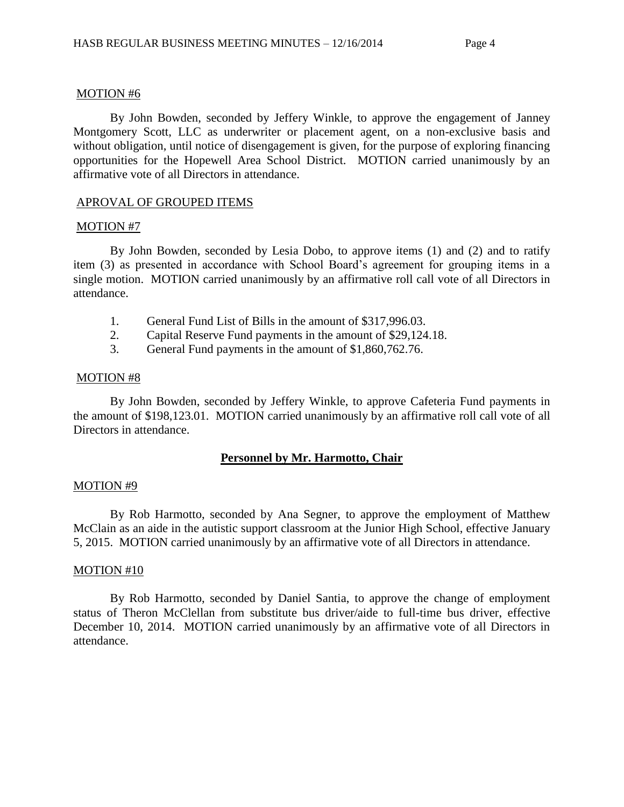#### MOTION #6

By John Bowden, seconded by Jeffery Winkle, to approve the engagement of Janney Montgomery Scott, LLC as underwriter or placement agent, on a non-exclusive basis and without obligation, until notice of disengagement is given, for the purpose of exploring financing opportunities for the Hopewell Area School District. MOTION carried unanimously by an affirmative vote of all Directors in attendance.

### APROVAL OF GROUPED ITEMS

### MOTION #7

By John Bowden, seconded by Lesia Dobo, to approve items (1) and (2) and to ratify item (3) as presented in accordance with School Board's agreement for grouping items in a single motion. MOTION carried unanimously by an affirmative roll call vote of all Directors in attendance.

- 1. General Fund List of Bills in the amount of \$317,996.03.
- 2. Capital Reserve Fund payments in the amount of \$29,124.18.
- 3. General Fund payments in the amount of \$1,860,762.76.

### MOTION #8

By John Bowden, seconded by Jeffery Winkle, to approve Cafeteria Fund payments in the amount of \$198,123.01. MOTION carried unanimously by an affirmative roll call vote of all Directors in attendance.

# **Personnel by Mr. Harmotto, Chair**

### MOTION #9

By Rob Harmotto, seconded by Ana Segner, to approve the employment of Matthew McClain as an aide in the autistic support classroom at the Junior High School, effective January 5, 2015. MOTION carried unanimously by an affirmative vote of all Directors in attendance.

### MOTION #10

By Rob Harmotto, seconded by Daniel Santia, to approve the change of employment status of Theron McClellan from substitute bus driver/aide to full-time bus driver, effective December 10, 2014. MOTION carried unanimously by an affirmative vote of all Directors in attendance.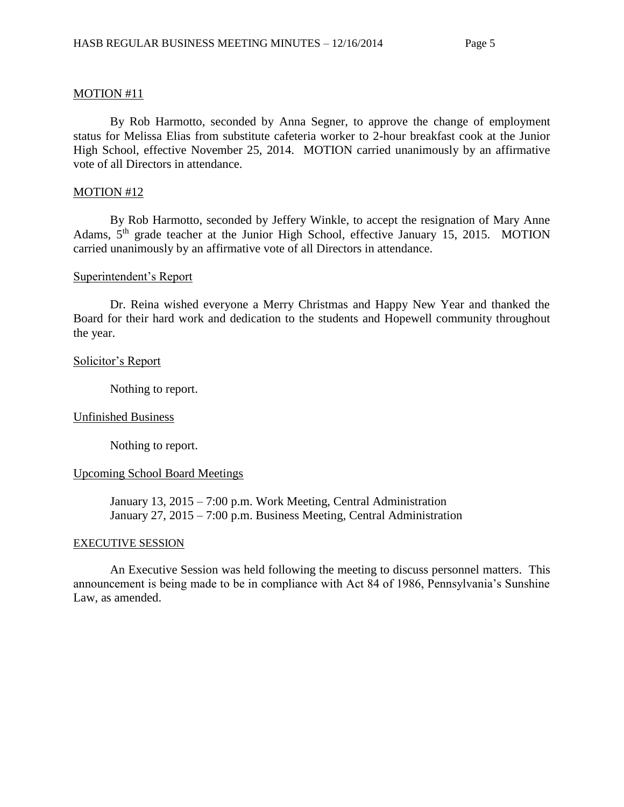#### MOTION #11

By Rob Harmotto, seconded by Anna Segner, to approve the change of employment status for Melissa Elias from substitute cafeteria worker to 2-hour breakfast cook at the Junior High School, effective November 25, 2014. MOTION carried unanimously by an affirmative vote of all Directors in attendance.

#### MOTION #12

By Rob Harmotto, seconded by Jeffery Winkle, to accept the resignation of Mary Anne Adams, 5<sup>th</sup> grade teacher at the Junior High School, effective January 15, 2015. MOTION carried unanimously by an affirmative vote of all Directors in attendance.

#### Superintendent's Report

Dr. Reina wished everyone a Merry Christmas and Happy New Year and thanked the Board for their hard work and dedication to the students and Hopewell community throughout the year.

#### Solicitor's Report

Nothing to report.

### Unfinished Business

Nothing to report.

#### Upcoming School Board Meetings

January 13, 2015 – 7:00 p.m. Work Meeting, Central Administration January 27, 2015 – 7:00 p.m. Business Meeting, Central Administration

#### EXECUTIVE SESSION

An Executive Session was held following the meeting to discuss personnel matters. This announcement is being made to be in compliance with Act 84 of 1986, Pennsylvania's Sunshine Law, as amended.